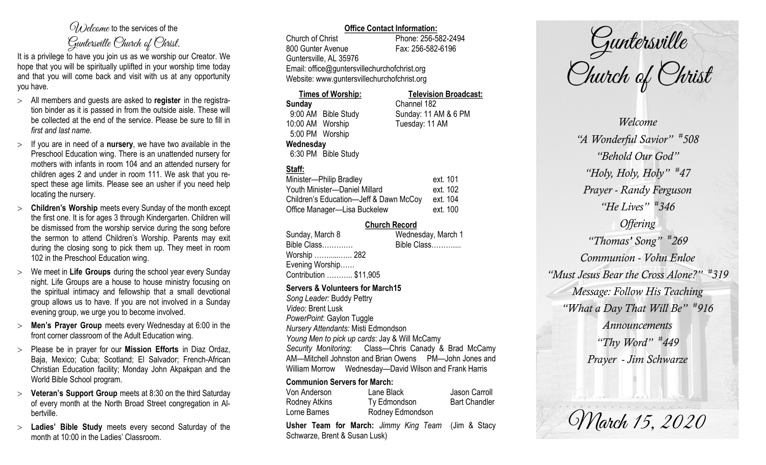# $\mathcal{O}_{\lambda}$  decame to the services of the Guntersville Church of Christ.

It is a privilege to have you join us as we worship our Creator. We hope that you will be spiritually uplifted in your worship time today and that you will come back and visit with us at any opportunity you have.

- All members and guests are asked to **register** in the registration binder as it is passed in from the outside aisle. These will be collected at the end of the service. Please be sure to fill in *first and last name*.
- $>$  If you are in need of a **nursery**, we have two available in the Preschool Education wing. There is an unattended nursery for mothers with infants in room 104 and an attended nursery for children ages 2 and under in room 111. We ask that you respect these age limits. Please see an usher if you need help locating the nursery.
- **Children's Worship** meets every Sunday of the month except the first one. It is for ages 3 through Kindergarten. Children will be dismissed from the worship service during the song before the sermon to attend Children's Worship. Parents may exit during the closing song to pick them up. They meet in room 102 in the Preschool Education wing.
- We meet in **Life Groups** during the school year every Sunday night. Life Groups are a house to house ministry focusing on the spiritual intimacy and fellowship that a small devotional group allows us to have. If you are not involved in a Sunday evening group, we urge you to become involved.
- **Men's Prayer Group** meets every Wednesday at 6:00 in the front corner classroom of the Adult Education wing.
- Please be in prayer for our **Mission Efforts** in Diaz Ordaz, Baja, Mexico; Cuba; Scotland; El Salvador; French-African Christian Education facility; Monday John Akpakpan and the World Bible School program.
- **Veteran's Support Group** meets at 8:30 on the third Saturday of every month at the North Broad Street congregation in Albertville.
- **Ladies' Bible Study** meets every second Saturday of the month at 10:00 in the Ladies' Classroom.

# **Office Contact Information:**

Church of Christ Phone: 256-582-2494 800 Gunter Avenue Fax: 256-582-6196 Guntersville, AL 35976 Email: office@guntersvillechurchofchrist.org Website: www.guntersvillechurchofchrist.org

| <b>Times of Worship:</b> |                     | <b>Television Broadcast:</b> |  |
|--------------------------|---------------------|------------------------------|--|
| Sunday                   |                     | Channel 182                  |  |
|                          | 9:00 AM Bible Study | Sunday: 11 AM & 6 PM         |  |
| 10:00 AM Worship         |                     | Tuesday: 11 AM               |  |
| 5:00 PM Worship          |                     |                              |  |
| Wednesday                |                     |                              |  |
|                          | 6:30 PM Bible Study |                              |  |

# **Staff:**

| Minister-Philip Bradley                | ext. 101 |
|----------------------------------------|----------|
| Youth Minister-Daniel Millard          | ext. 102 |
| Children's Education-Jeff & Dawn McCoy | ext. 104 |
| Office Manager-Lisa Buckelew           | ext. 100 |

# **Church Record**

| Sunday, March 8        | Wednesday, March 1 |
|------------------------|--------------------|
| Bible Class            | Bible Class        |
| Worship ………. 282       |                    |
| Evening Worship        |                    |
| Contribution  \$11,905 |                    |
|                        |                    |

#### **Servers & Volunteers for March15**

*Song Leader:* Buddy Pettry *Video*: Brent Lusk *PowerPoint*: Gaylon Tuggle *Nursery Attendants:* Misti Edmondson *Young Men to pick up cards*: Jay & Will McCamy *Security Monitoring*: Class—Chris Canady & Brad McCamy AM—Mitchell Johnston and Brian Owens PM—John Jones and William Morrow Wednesday—David Wilson and Frank Harris

# **Communion Servers for March:**

| Von Anderson  | Lane Black       | Jason Carroll        |
|---------------|------------------|----------------------|
| Rodney Atkins | Ty Edmondson     | <b>Bart Chandler</b> |
| Lorne Barnes  | Rodney Edmondson |                      |

**Usher Team for March:** *Jimmy King Team* (Jim & Stacy Schwarze, Brent & Susan Lusk)

Guntersville<br>Church of Christ

*Welcome "A Wonderful Savior" # 508 "Behold Our God" "Holy, Holy, Holy" # 47 Prayer - Randy Ferguson "He Lives" # 346 Offering "Thomas' Song" # 269 Communion - Vohn Enloe "Must Jesus Bear the Cross Alone?" # 319 Message: Follow His Teaching "What a Day That Will Be" # 916 Announcements "Thy Word" # 449 Prayer - Jim Schwarze*

March 15, 2020